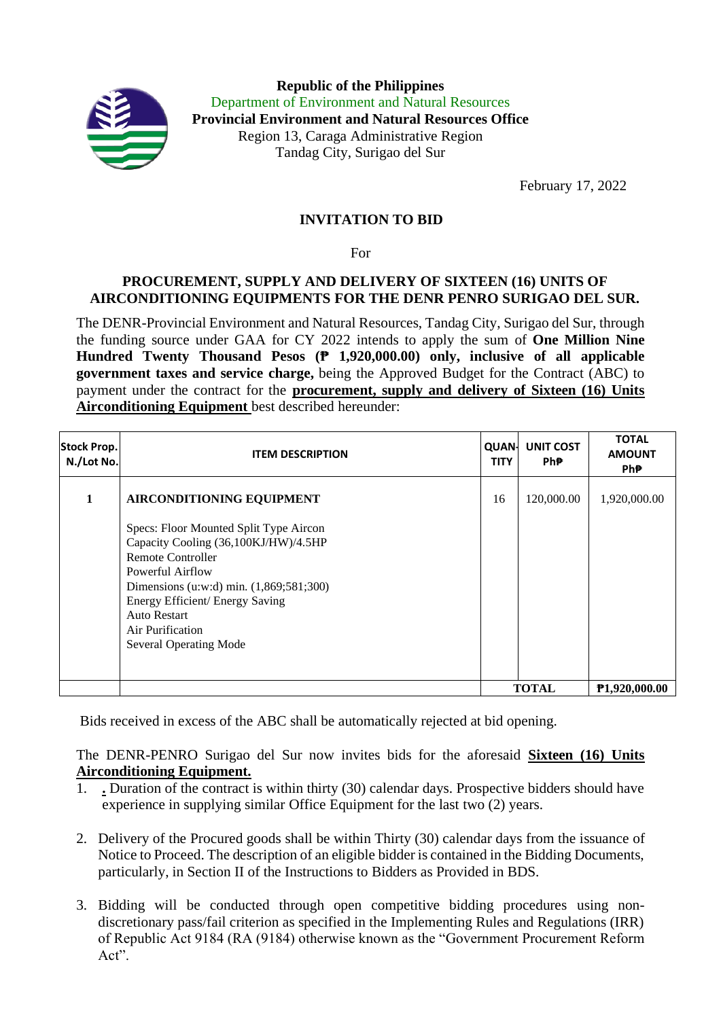

**Republic of the Philippines** Department of Environment and Natural Resources **Provincial Environment and Natural Resources Office** Region 13, Caraga Administrative Region Tandag City, Surigao del Sur

February 17, 2022

## **INVITATION TO BID**

For

## **PROCUREMENT, SUPPLY AND DELIVERY OF SIXTEEN (16) UNITS OF AIRCONDITIONING EQUIPMENTS FOR THE DENR PENRO SURIGAO DEL SUR.**

The DENR-Provincial Environment and Natural Resources, Tandag City, Surigao del Sur, through the funding source under GAA for CY 2022 intends to apply the sum of **One Million Nine Hundred Twenty Thousand Pesos (₱ 1,920,000.00) only, inclusive of all applicable government taxes and service charge,** being the Approved Budget for the Contract (ABC) to payment under the contract for the **procurement, supply and delivery of Sixteen (16) Units Airconditioning Equipment** best described hereunder:

| <b>Stock Prop.</b><br>N./Lot No. | <b>ITEM DESCRIPTION</b>                                                                                                                                                                                                                                                           | <b>QUAN-</b><br><b>TITY</b> | <b>UNIT COST</b><br>Ph₱. | <b>TOTAL</b><br><b>AMOUNT</b><br>Ph₱. |
|----------------------------------|-----------------------------------------------------------------------------------------------------------------------------------------------------------------------------------------------------------------------------------------------------------------------------------|-----------------------------|--------------------------|---------------------------------------|
| 1                                | <b>AIRCONDITIONING EQUIPMENT</b>                                                                                                                                                                                                                                                  | 16                          | 120,000.00               | 1,920,000.00                          |
|                                  | Specs: Floor Mounted Split Type Aircon<br>Capacity Cooling (36,100KJ/HW)/4.5HP<br>Remote Controller<br>Powerful Airflow<br>Dimensions (u:w:d) min. (1,869;581;300)<br>Energy Efficient/ Energy Saving<br><b>Auto Restart</b><br>Air Purification<br><b>Several Operating Mode</b> |                             |                          |                                       |
|                                  |                                                                                                                                                                                                                                                                                   |                             | <b>TOTAL</b>             | <b>P1,920,000.00</b>                  |

Bids received in excess of the ABC shall be automatically rejected at bid opening.

The DENR-PENRO Surigao del Sur now invites bids for the aforesaid **Sixteen (16) Units Airconditioning Equipment.**

- 1. **.** Duration of the contract is within thirty (30) calendar days. Prospective bidders should have experience in supplying similar Office Equipment for the last two (2) years.
- 2. Delivery of the Procured goods shall be within Thirty (30) calendar days from the issuance of Notice to Proceed. The description of an eligible bidder is contained in the Bidding Documents, particularly, in Section II of the Instructions to Bidders as Provided in BDS.
- 3. Bidding will be conducted through open competitive bidding procedures using nondiscretionary pass/fail criterion as specified in the Implementing Rules and Regulations (IRR) of Republic Act 9184 (RA (9184) otherwise known as the "Government Procurement Reform Act".